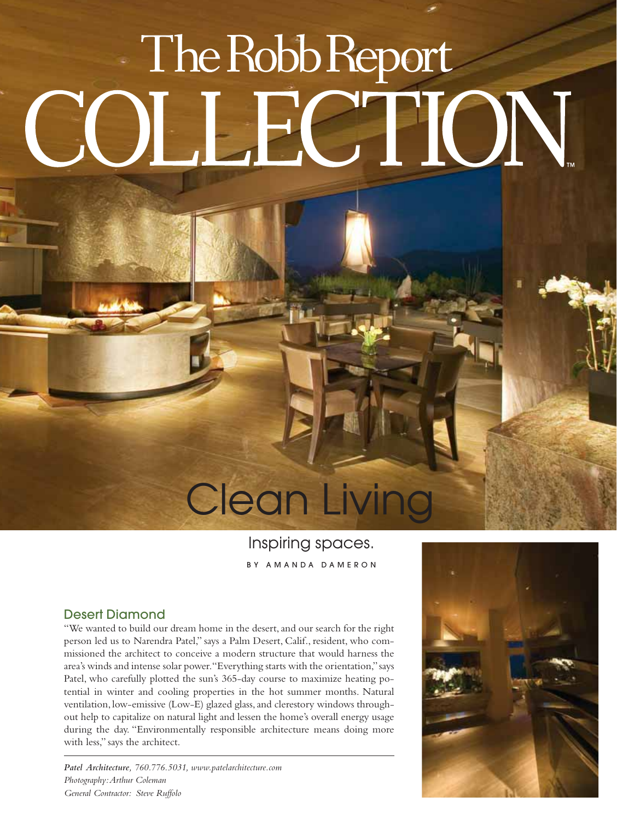# The Robb Report **JN**

# **Clean Living**

## Inspiring spaces. BY AMANDA DAMERON

### Desert Diamond

"We wanted to build our dream home in the desert, and our search for the right person led us to Narendra Patel," says a Palm Desert, Calif., resident, who commissioned the architect to conceive a modern structure that would harness the area's winds and intense solar power."Everything starts with the orientation,"says Patel, who carefully plotted the sun's 365-day course to maximize heating potential in winter and cooling properties in the hot summer months. Natural ventilation, low-emissive (Low-E) glazed glass, and clerestory windows throughout help to capitalize on natural light and lessen the home's overall energy usage during the day. "Environmentally responsible architecture means doing more with less," says the architect.

*Patel Architecture, 760.776.5031, www.patelarchitecture.com Photography:Arthur Coleman General Contractor: Steve Ruffolo*

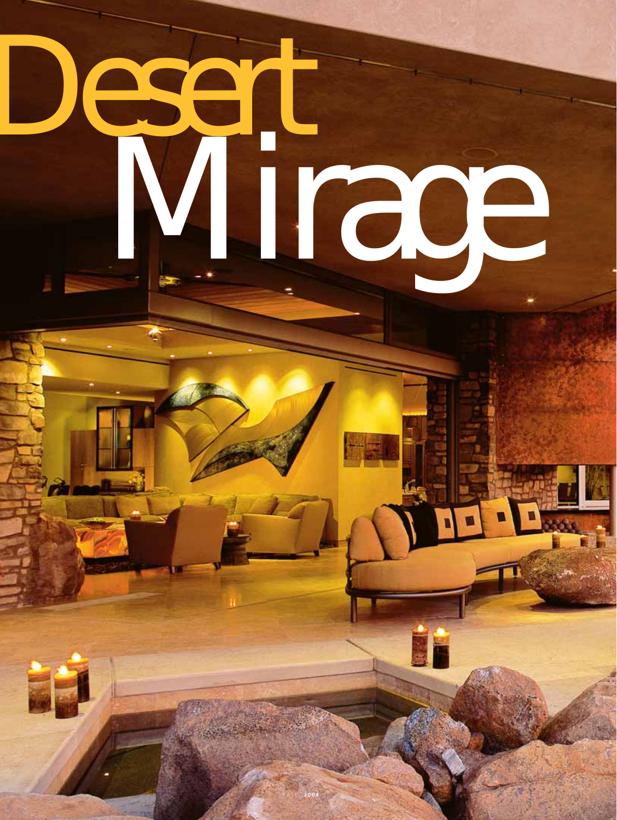# Desert Mirage

FALL **2004**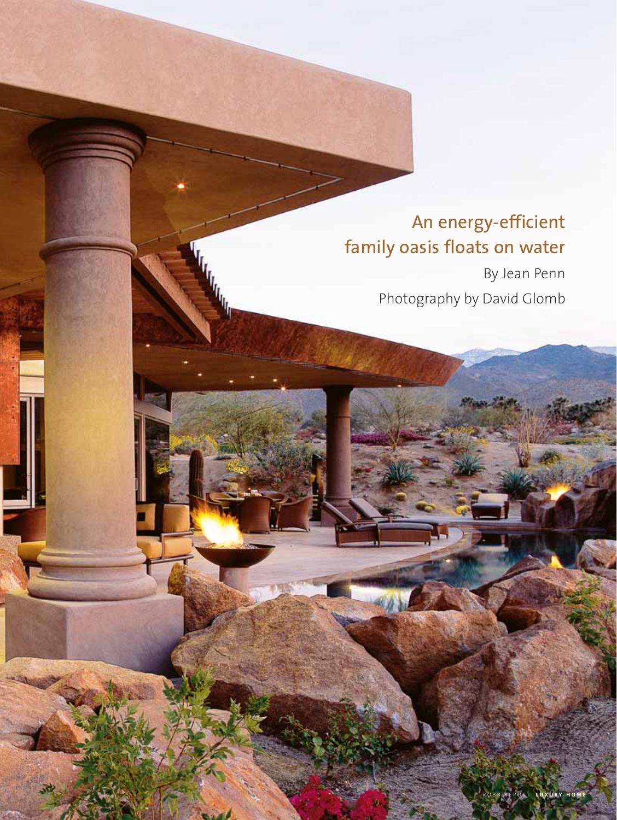## An energy-efficient family oasis floats on water

By Jean Penn Photography by David Glomb

58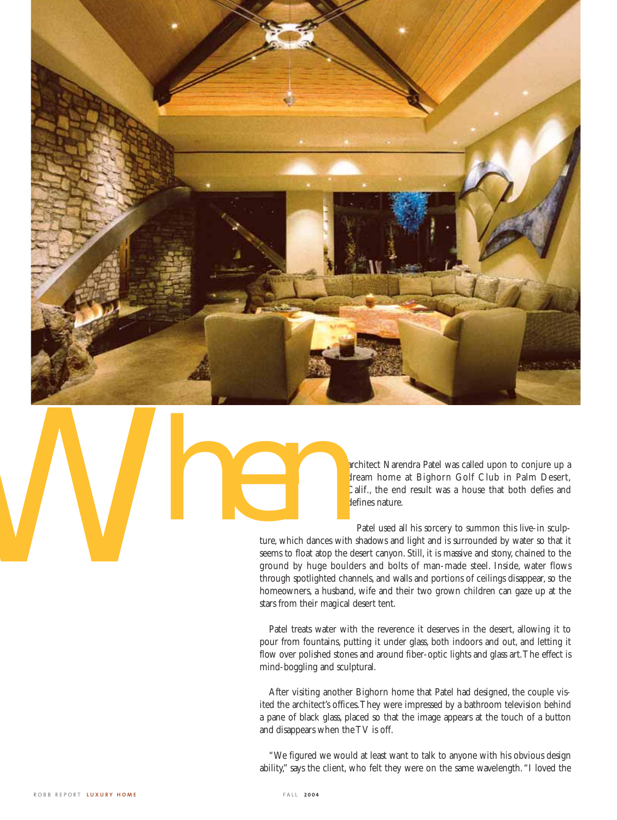

architect Narendra Patel was called upon to conjure up a dream home at Bighorn Golf Club in Palm Desert, Calif., the end result was a house that both defies and defines nature.

Patel used all his sorcery to summon this live-in sculpture, which dances with shadows and light and is surrounded by water so that it seems to float atop the desert canyon. Still, it is massive and stony, chained to the ground by huge boulders and bolts of man-made steel. Inside, water flows through spotlighted channels, and walls and portions of ceilings disappear, so the homeowners, a husband, wife and their two grown children can gaze up at the stars from their magical desert tent. ture, which dances with semi-to-foot atop the ground by huge bould through spotlighted changes with semi-to-foot atop the ground by huge bould through spotlighted changes with stars from their magical

> Patel treats water with the reverence it deserves in the desert, allowing it to pour from fountains, putting it under glass, both indoors and out, and letting it flow over polished stones and around fiber-optic lights and glass art.The effect is mind-boggling and sculptural.

> After visiting another Bighorn home that Patel had designed, the couple visited the architect's offices.They were impressed by a bathroom television behind a pane of black glass, placed so that the image appears at the touch of a button and disappears when the TV is off.

> "We figured we would at least want to talk to anyone with his obvious design ability," says the client, who felt they were on the same wavelength."I loved the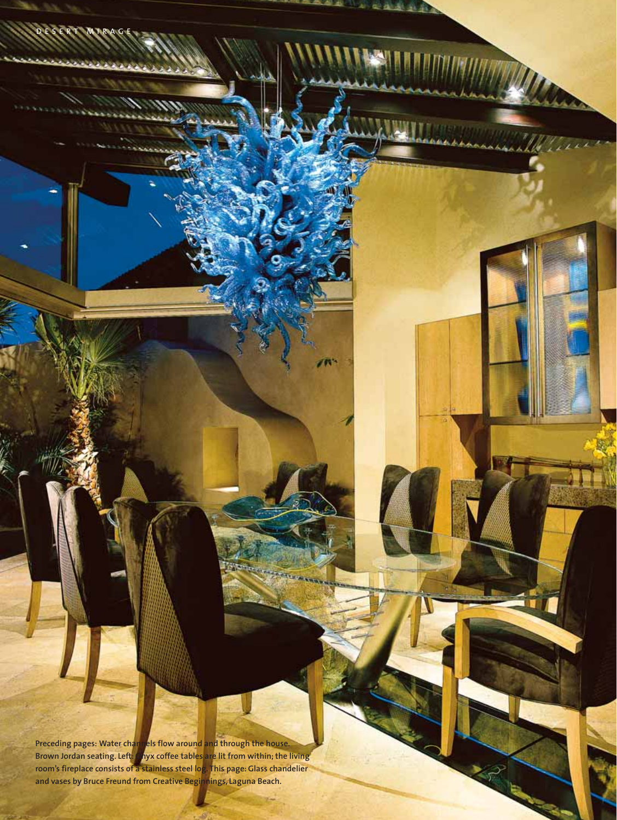**Preceding pages: Water channels flow around and through the house. Brown Jordan seating. Left: Onyx coffee tables are lit from within; the living room's fireplace consists of a stainless steel log. This page: Glass chandelier and vases by Bruce Freund from Creative Beginnings, Laguna Beach.**

t.

DESERT MIRAGE

**SOFT** 

dili.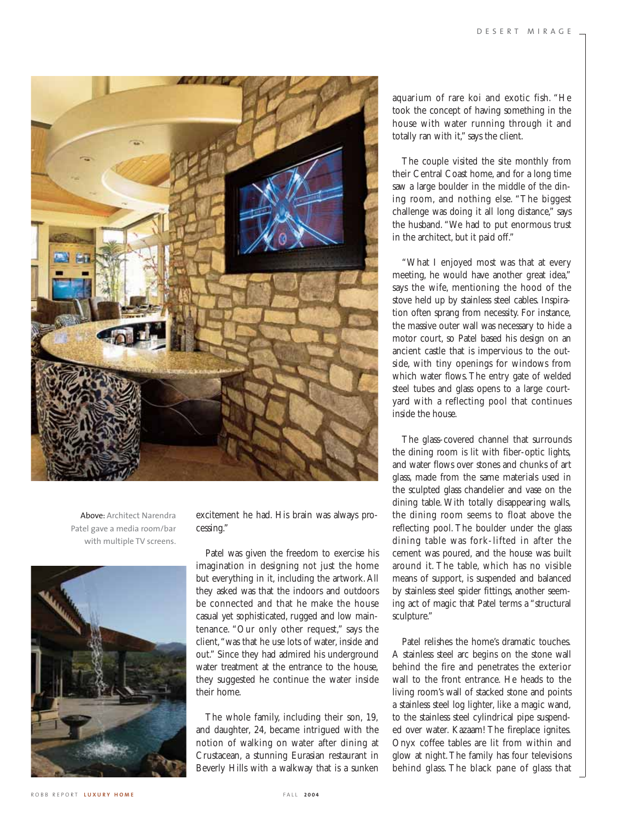

Above: Architect Narendra Patel gave a media room/bar with multiple TV screens.



excitement he had. His brain was always processing."

Patel was given the freedom to exercise his imagination in designing not just the home but everything in it, including the artwork. All they asked was that the indoors and outdoors be connected and that he make the house casual yet sophisticated, rugged and low maintenance. "Our only other request," says the client,"was that he use lots of water, inside and out." Since they had admired his underground water treatment at the entrance to the house, they suggested he continue the water inside their home.

The whole family, including their son, 19, and daughter, 24, became intrigued with the notion of walking on water after dining at Crustacean, a stunning Eurasian restaurant in Beverly Hills with a walkway that is a sunken aquarium of rare koi and exotic fish. "He took the concept of having something in the house with water running through it and totally ran with it," says the client.

The couple visited the site monthly from their Central Coast home, and for a long time saw a large boulder in the middle of the dining room, and nothing else. "The biggest challenge was doing it all long distance," says the husband. "We had to put enormous trust in the architect, but it paid off."

"What I enjoyed most was that at every meeting, he would have another great idea," says the wife, mentioning the hood of the stove held up by stainless steel cables. Inspiration often sprang from necessity. For instance, the massive outer wall was necessary to hide a motor court, so Patel based his design on an ancient castle that is impervious to the outside, with tiny openings for windows from which water flows. The entry gate of welded steel tubes and glass opens to a large courtyard with a reflecting pool that continues inside the house.

The glass-covered channel that surrounds the dining room is lit with fiber-optic lights, and water flows over stones and chunks of art glass, made from the same materials used in the sculpted glass chandelier and vase on the dining table. With totally disappearing walls, the dining room seems to float above the reflecting pool. The boulder under the glass dining table was fork-lifted in after the cement was poured, and the house was built around it. The table, which has no visible means of support, is suspended and balanced by stainless steel spider fittings, another seeming act of magic that Patel terms a "structural sculpture."

Patel relishes the home's dramatic touches. A stainless steel arc begins on the stone wall behind the fire and penetrates the exterior wall to the front entrance. He heads to the living room's wall of stacked stone and points a stainless steel log lighter, like a magic wand, to the stainless steel cylindrical pipe suspended over water. Kazaam! The fireplace ignites. Onyx coffee tables are lit from within and glow at night.The family has four televisions behind glass. The black pane of glass that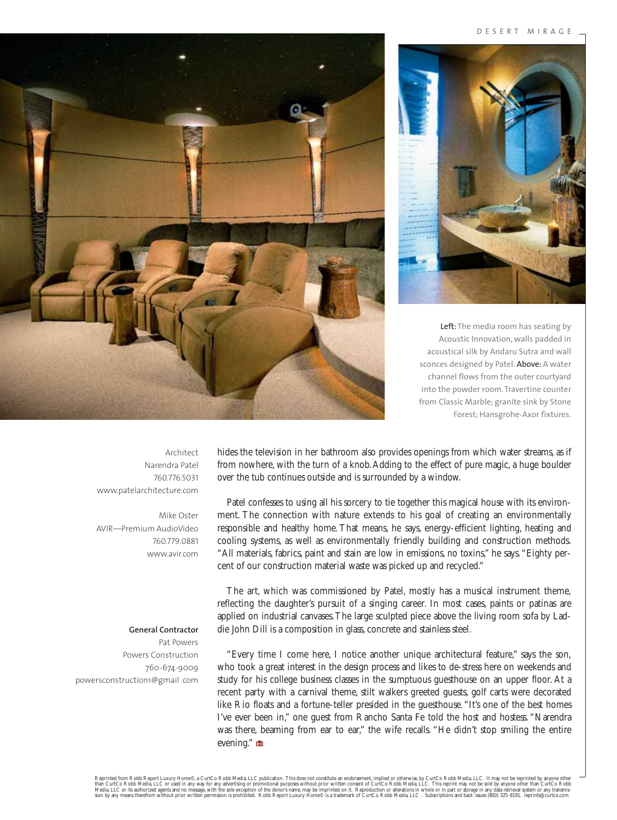#### DESERT MIRAGE



Left: The media room has seating by Acoustic Innovation, walls padded in acoustical silk by Andaru Sutra and wall sconces designed by Patel. Above: A water channel flows from the outer courtyard into the powder room. Travertine counter from Classic Marble; granite sink by Stone Forest; Hansgrohe-Axor fixtures.



hides the television in her bathroom also provides openings from which water streams, as if from nowhere, with the turn of a knob.Adding to the effect of pure magic, a huge boulder over the tub continues outside and is surrounded by a window.

Patel confesses to using all his sorcery to tie together this magical house with its environment. The connection with nature extends to his goal of creating an environmentally responsible and healthy home. That means, he says, energy-efficient lighting, heating and cooling systems, as well as environmentally friendly building and construction methods. "All materials, fabrics, paint and stain are low in emissions, no toxins," he says."Eighty percent of our construction material waste was picked up and recycled."

The art, which was commissioned by Patel, mostly has a musical instrument theme, reflecting the daughter's pursuit of a singing career. In most cases, paints or patinas are applied on industrial canvases.The large sculpted piece above the living room sofa by Laddie John Dill is a composition in glass, concrete and stainless steel.

"Every time I come here, I notice another unique architectural feature," says the son, who took a great interest in the design process and likes to de-stress here on weekends and study for his college business classes in the sumptuous guesthouse on an upper floor. At a recent party with a carnival theme, stilt walkers greeted guests, golf carts were decorated like Rio floats and a fortune-teller presided in the guesthouse. "It's one of the best homes I've ever been in," one guest from Rancho Santa Fe told the host and hostess. "Narendra was there, beaming from ear to ear," the wife recalls. "He didn't stop smiling the entire evening."

Architect Narendra Patel 760.776.5031 www.patelarchitecture.com

Mike Oster AVIR—Premium AudioVideo 760.779.0881 www.avir.com

### **General Contractor**

Pat Powers Powers Construction 760-674-9009 powersconstruction1@gmail .com

Reprinted from Robb Report Luxury Home©, a CurtCo Robb Media, LLC publication. This does not constitute an endorsement, implied or otherwise, by CurtCo Robb Media, LLC. It may not be reprinted by anyone other what increas